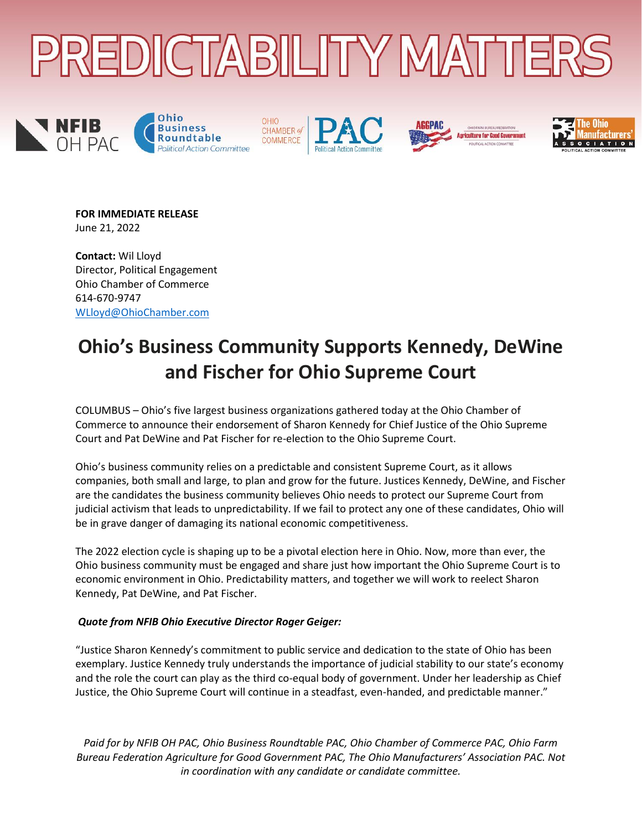











### **FOR IMMEDIATE RELEASE** June 21, 2022

**Contact:** Wil Lloyd Director, Political Engagement Ohio Chamber of Commerce 614-670-9747 [WLloyd@OhioChamber.com](mailto:WLloyd@OhioChamber.com) 

# **Ohio's Business Community Supports Kennedy, DeWine and Fischer for Ohio Supreme Court**

COLUMBUS – Ohio's five largest business organizations gathered today at the Ohio Chamber of Commerce to announce their endorsement of Sharon Kennedy for Chief Justice of the Ohio Supreme Court and Pat DeWine and Pat Fischer for re-election to the Ohio Supreme Court.

Ohio's business community relies on a predictable and consistent Supreme Court, as it allows companies, both small and large, to plan and grow for the future. Justices Kennedy, DeWine, and Fischer are the candidates the business community believes Ohio needs to protect our Supreme Court from judicial activism that leads to unpredictability. If we fail to protect any one of these candidates, Ohio will be in grave danger of damaging its national economic competitiveness.

The 2022 election cycle is shaping up to be a pivotal election here in Ohio. Now, more than ever, the Ohio business community must be engaged and share just how important the Ohio Supreme Court is to economic environment in Ohio. Predictability matters, and together we will work to reelect Sharon Kennedy, Pat DeWine, and Pat Fischer.

## *Quote from NFIB Ohio Executive Director Roger Geiger:*

"Justice Sharon Kennedy's commitment to public service and dedication to the state of Ohio has been exemplary. Justice Kennedy truly understands the importance of judicial stability to our state's economy and the role the court can play as the third co-equal body of government. Under her leadership as Chief Justice, the Ohio Supreme Court will continue in a steadfast, even-handed, and predictable manner."

*Paid for by NFIB OH PAC, Ohio Business Roundtable PAC, Ohio Chamber of Commerce PAC, Ohio Farm Bureau Federation Agriculture for Good Government PAC, The Ohio Manufacturers' Association PAC. Not in coordination with any candidate or candidate committee.*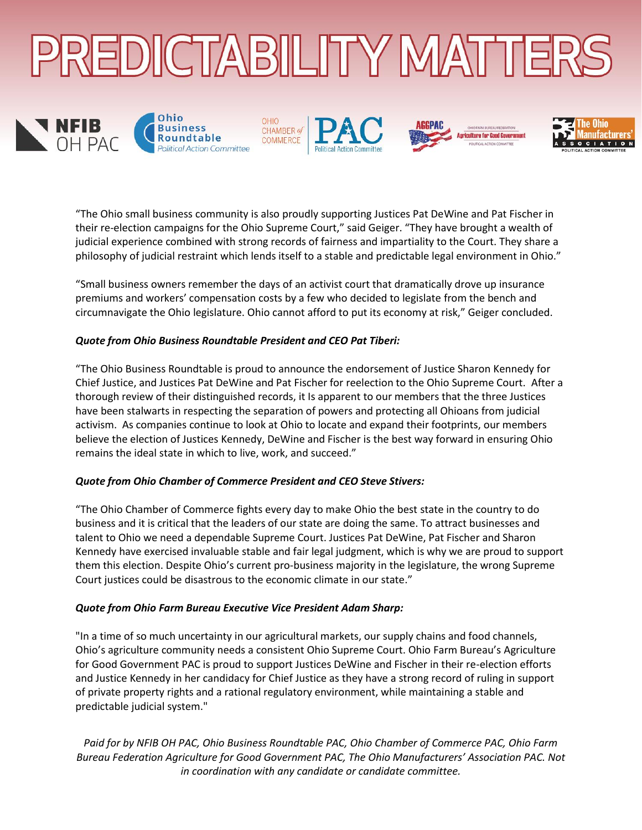

**OHIO** 











"The Ohio small business community is also proudly supporting Justices Pat DeWine and Pat Fischer in their re-election campaigns for the Ohio Supreme Court," said Geiger. "They have brought a wealth of judicial experience combined with strong records of fairness and impartiality to the Court. They share a philosophy of judicial restraint which lends itself to a stable and predictable legal environment in Ohio."

"Small business owners remember the days of an activist court that dramatically drove up insurance premiums and workers' compensation costs by a few who decided to legislate from the bench and circumnavigate the Ohio legislature. Ohio cannot afford to put its economy at risk," Geiger concluded.

## *Quote from Ohio Business Roundtable President and CEO Pat Tiberi:*

"The Ohio Business Roundtable is proud to announce the endorsement of Justice Sharon Kennedy for Chief Justice, and Justices Pat DeWine and Pat Fischer for reelection to the Ohio Supreme Court. After a thorough review of their distinguished records, it Is apparent to our members that the three Justices have been stalwarts in respecting the separation of powers and protecting all Ohioans from judicial activism. As companies continue to look at Ohio to locate and expand their footprints, our members believe the election of Justices Kennedy, DeWine and Fischer is the best way forward in ensuring Ohio remains the ideal state in which to live, work, and succeed."

### *Quote from Ohio Chamber of Commerce President and CEO Steve Stivers:*

"The Ohio Chamber of Commerce fights every day to make Ohio the best state in the country to do business and it is critical that the leaders of our state are doing the same. To attract businesses and talent to Ohio we need a dependable Supreme Court. Justices Pat DeWine, Pat Fischer and Sharon Kennedy have exercised invaluable stable and fair legal judgment, which is why we are proud to support them this election. Despite Ohio's current pro-business majority in the legislature, the wrong Supreme Court justices could be disastrous to the economic climate in our state."

### *Quote from Ohio Farm Bureau Executive Vice President Adam Sharp:*

"In a time of so much uncertainty in our agricultural markets, our supply chains and food channels, Ohio's agriculture community needs a consistent Ohio Supreme Court. Ohio Farm Bureau's Agriculture for Good Government PAC is proud to support Justices DeWine and Fischer in their re-election efforts and Justice Kennedy in her candidacy for Chief Justice as they have a strong record of ruling in support of private property rights and a rational regulatory environment, while maintaining a stable and predictable judicial system."

*Paid for by NFIB OH PAC, Ohio Business Roundtable PAC, Ohio Chamber of Commerce PAC, Ohio Farm Bureau Federation Agriculture for Good Government PAC, The Ohio Manufacturers' Association PAC. Not in coordination with any candidate or candidate committee.*